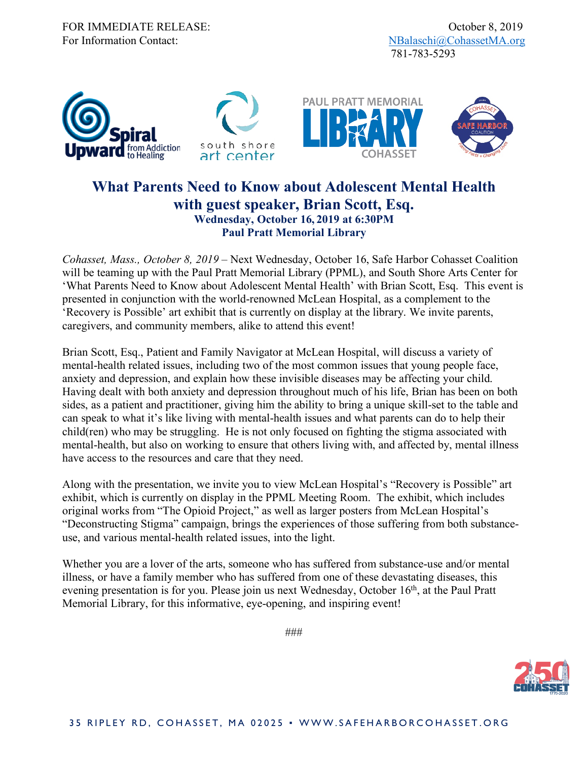

## **What Parents Need to Know about Adolescent Mental Health with guest speaker, Brian Scott, Esq. Wednesday, October 16, 2019 at 6:30PM Paul Pratt Memorial Library**

*Cohasset, Mass., October 8, 2019* – Next Wednesday, October 16, Safe Harbor Cohasset Coalition will be teaming up with the Paul Pratt Memorial Library (PPML), and South Shore Arts Center for 'What Parents Need to Know about Adolescent Mental Health' with Brian Scott, Esq. This event is presented in conjunction with the world-renowned McLean Hospital, as a complement to the 'Recovery is Possible' art exhibit that is currently on display at the library. We invite parents, caregivers, and community members, alike to attend this event!

Brian Scott, Esq., Patient and Family Navigator at McLean Hospital, will discuss a variety of mental-health related issues, including two of the most common issues that young people face, anxiety and depression, and explain how these invisible diseases may be affecting your child. Having dealt with both anxiety and depression throughout much of his life, Brian has been on both sides, as a patient and practitioner, giving him the ability to bring a unique skill-set to the table and can speak to what it's like living with mental-health issues and what parents can do to help their child(ren) who may be struggling. He is not only focused on fighting the stigma associated with mental-health, but also on working to ensure that others living with, and affected by, mental illness have access to the resources and care that they need.

Along with the presentation, we invite you to view McLean Hospital's "Recovery is Possible" art exhibit, which is currently on display in the PPML Meeting Room. The exhibit, which includes original works from "The Opioid Project," as well as larger posters from McLean Hospital's "Deconstructing Stigma" campaign, brings the experiences of those suffering from both substanceuse, and various mental-health related issues, into the light.

Whether you are a lover of the arts, someone who has suffered from substance-use and/or mental illness, or have a family member who has suffered from one of these devastating diseases, this evening presentation is for you. Please join us next Wednesday, October 16<sup>th</sup>, at the Paul Pratt Memorial Library, for this informative, eye-opening, and inspiring event!

###